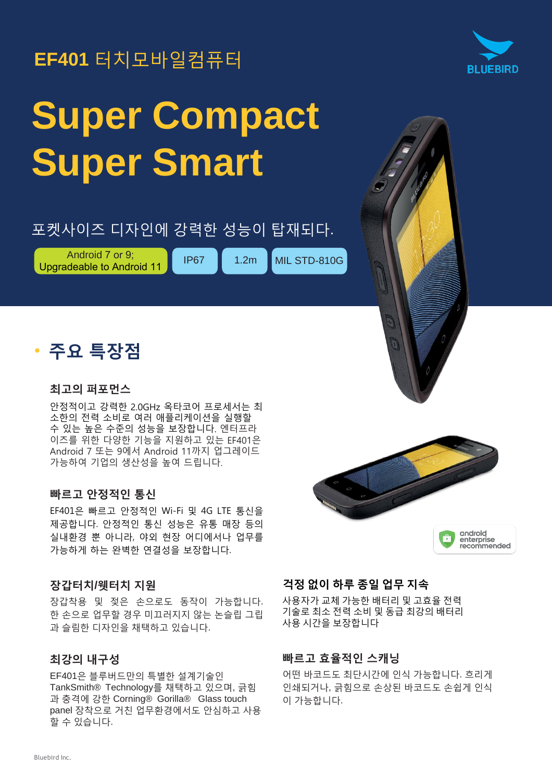## **EF401** 터치모바일컴퓨터



# **Super Compact Super Smart**

## 포켓사이즈 디자인에 강력한 성능이 탑재되다.

Android 7 or 9; Android 7 or 9;<br>Upgradeable to Android 11 **IP67** 1.2m MIL STD-810G

• 주요 특장점

#### 최고의 퍼포먼스

안정적이고 강력한 2.0GHz 옥타코어 프로세서는 최 소한의 전력 소비로 여러 애플리케이션을 실행할 수 있는 높은 수준의 성능을 보장합니다. 엔터프라 이즈를 위한 다양한 기능을 지원하고 있는 EF401은 Android 7 또는 9에서 Android 11까지 업그레이드 가능하여 기업의 생산성을 높여 드립니다.

#### 빠르고 안정적인 통신

EF401은 빠르고 안정적인 Wi-Fi 및 4G LTE 통신을 제공합니다. 안정적인 통신 성능은 유통 매장 등의 실내환경 뿐 아니라, 야외 현장 어디에서나 업무를 가능하게 하는 완벽한 연결성을 보장합니다.

#### 장갑터치**/**웻터치 지원

장갑착용 및 젖은 손으로도 동작이 가능합니다. 한 손으로 업무할 경우 미끄러지지 않는 논슬립 그립 과 슬림한 디자인을 채택하고 있습니다.

#### 최강의 내구성

EF401은 블루버드만의 특별한 설계기술인 TankSmith® Technology를 채택하고 있으며, 긁힘 과 충격에 강한 Corning® Gorilla® Glass touch panel 장착으로 거친 업무환경에서도 안심하고 사용 할 수 있습니다.



#### 걱정 없이 하루 종일 업무 지속

사용자가 교체 가능한 배터리 및 고효율 전력 기술로 최소 전력 소비 및 동급 최강의 배터리 사용 시간을 보장합니다

#### 빠르고 효율적인 스캐닝

어떤 바코드도 최단시간에 인식 가능합니다. 흐리게 인쇄되거나, 긁힘으로 손상된 바코드도 손쉽게 인식 이 가능합니다.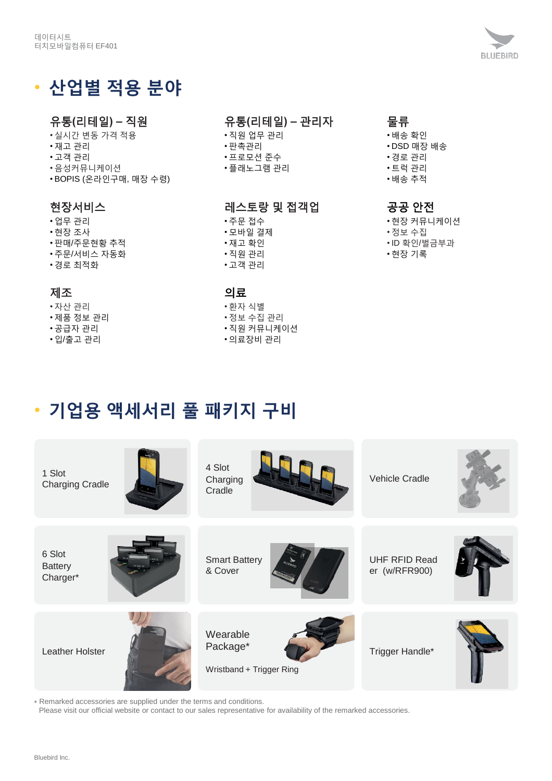### • 산업별 적용 분야

#### 유통**(**리테일**) –** 직원

- 실시간 변동 가격 적용
- 재고 관리
- 고객 관리
- 음성커뮤니케이션
- BOPIS (온라인구매, 매장 수령)

#### 현장서비스

- 업무 관리
- 현장 조사
- 판매/주문현황 추적
- 주문/서비스 자동화
- 경로 최적화

#### 제조

- 자산 관리
- 제품 정보 관리
- 공급자 관리
- 입/출고 관리

#### 유통**(**리테일**) –** 관리자

- 직원 업무 관리
- 판촉관리
- 프로모션 준수
- 플래노그램 관리

#### 레스토랑 및 접객업

- 주문 접수
- 모바일 결제
- 재고 확인
- 직원 관리
- 고객 관리

#### 의료

- 환자 식별
- 정보 수집 관리
- 직원 커뮤니케이션
- 의료장비 관리

#### 물류

- 배송 확인
- DSD 매장 배송
- 경로 관리 • 트럭 관리
- 배송 추적
- 

#### 공공 안전

- 현장 커뮤니케이션
- 정보 수집
- ID 확인/벌금부과
- 현장 기록

## • 기업용 액세서리 풀 패키지 구비



\* Remarked accessories are supplied under the terms and conditions.

Please visit our official website or contact to our sales representative for availability of the remarked accessories.